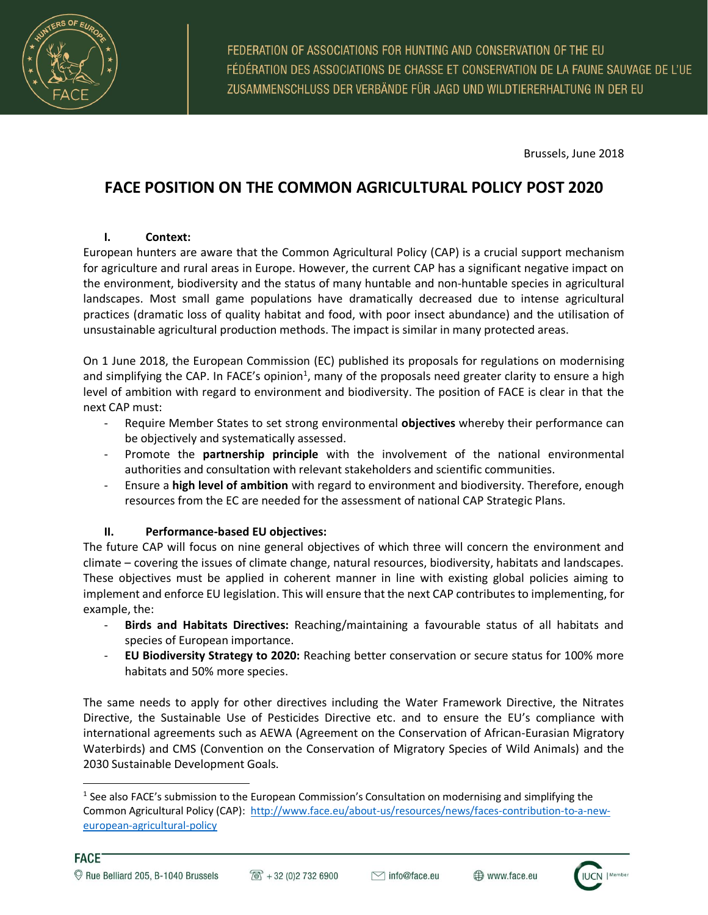

 $\overline{a}$ 

FEDERATION OF ASSOCIATIONS FOR HUNTING AND CONSERVATION OF THE EU FÉDÉRATION DES ASSOCIATIONS DE CHASSE ET CONSERVATION DE LA FAUNE SAUVAGE DE L'UE ZUSAMMENSCHLUSS DER VERBÄNDE FÜR JAGD UND WILDTIERERHALTUNG IN DER EU

Brussels, June 2018

# **FACE POSITION ON THE COMMON AGRICULTURAL POLICY POST 2020**

#### **I. Context:**

European hunters are aware that the Common Agricultural Policy (CAP) is a crucial support mechanism for agriculture and rural areas in Europe. However, the current CAP has a significant negative impact on the environment, biodiversity and the status of many huntable and non-huntable species in agricultural landscapes. Most small game populations have dramatically decreased due to intense agricultural practices (dramatic loss of quality habitat and food, with poor insect abundance) and the utilisation of unsustainable agricultural production methods. The impact is similar in many protected areas.

On 1 June 2018, the European Commission (EC) published its proposals for regulations on modernising and simplifying the CAP. In FACE's opinion<sup>1</sup>, many of the proposals need greater clarity to ensure a high level of ambition with regard to environment and biodiversity. The position of FACE is clear in that the next CAP must:

- Require Member States to set strong environmental **objectives** whereby their performance can be objectively and systematically assessed.
- Promote the **partnership principle** with the involvement of the national environmental authorities and consultation with relevant stakeholders and scientific communities.
- Ensure a **high level of ambition** with regard to environment and biodiversity. Therefore, enough resources from the EC are needed for the assessment of national CAP Strategic Plans.

#### **II. Performance-based EU objectives:**

The future CAP will focus on nine general objectives of which three will concern the environment and climate – covering the issues of climate change, natural resources, biodiversity, habitats and landscapes. These objectives must be applied in coherent manner in line with existing global policies aiming to implement and enforce EU legislation. This will ensure that the next CAP contributes to implementing, for example, the:

- **Birds and Habitats Directives:** Reaching/maintaining a favourable status of all habitats and species of European importance.
- **EU Biodiversity Strategy to 2020:** Reaching better conservation or secure status for 100% more habitats and 50% more species.

The same needs to apply for other directives including the Water Framework Directive, the Nitrates Directive, the Sustainable Use of Pesticides Directive etc. and to ensure the EU's compliance with international agreements such as AEWA (Agreement on the Conservation of African-Eurasian Migratory Waterbirds) and CMS (Convention on the Conservation of Migratory Species of Wild Animals) and the 2030 Sustainable Development Goals.

<sup>&</sup>lt;sup>1</sup> See also FACE's submission to the European Commission's Consultation on modernising and simplifying the Common Agricultural Policy (CAP): [http://www.face.eu/about-us/resources/news/faces-contribution-to-a-new](http://www.face.eu/about-us/resources/news/faces-contribution-to-a-new-european-agricultural-policy)[european-agricultural-policy](http://www.face.eu/about-us/resources/news/faces-contribution-to-a-new-european-agricultural-policy)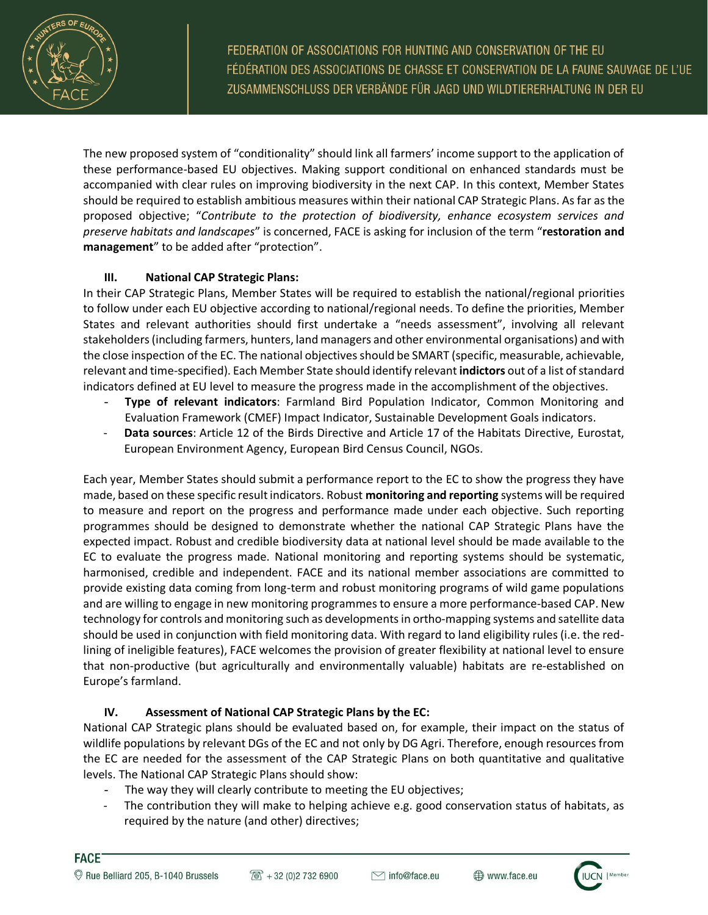

FEDERATION OF ASSOCIATIONS FOR HUNTING AND CONSERVATION OF THE EU FÉDÉRATION DES ASSOCIATIONS DE CHASSE ET CONSERVATION DE LA FAUNE SAUVAGE DE L'UE ZUSAMMENSCHLUSS DER VERBÄNDE FÜR JAGD UND WILDTIERERHALTUNG IN DER EU

The new proposed system of "conditionality" should link all farmers' income support to the application of these performance-based EU objectives. Making support conditional on enhanced standards must be accompanied with clear rules on improving biodiversity in the next CAP. In this context, Member States should be required to establish ambitious measures within their national CAP Strategic Plans. As far as the proposed objective; "*Contribute to the protection of biodiversity, enhance ecosystem services and preserve habitats and landscapes*" is concerned, FACE is asking for inclusion of the term "**restoration and management**" to be added after "protection".

## **III. National CAP Strategic Plans:**

In their CAP Strategic Plans, Member States will be required to establish the national/regional priorities to follow under each EU objective according to national/regional needs. To define the priorities, Member States and relevant authorities should first undertake a "needs assessment", involving all relevant stakeholders (including farmers, hunters, land managers and other environmental organisations) and with the close inspection of the EC. The national objectives should be SMART (specific, measurable, achievable, relevant and time-specified). Each Member State should identify relevant **indictors** out of a list of standard indicators defined at EU level to measure the progress made in the accomplishment of the objectives.

- **Type of relevant indicators**: Farmland Bird Population Indicator, Common Monitoring and Evaluation Framework (CMEF) Impact Indicator, Sustainable Development Goals indicators.
- **Data sources**: Article 12 of the Birds Directive and Article 17 of the Habitats Directive, Eurostat, European Environment Agency, European Bird Census Council, NGOs.

Each year, Member States should submit a performance report to the EC to show the progress they have made, based on these specific result indicators. Robust **monitoring and reporting** systems will be required to measure and report on the progress and performance made under each objective. Such reporting programmes should be designed to demonstrate whether the national CAP Strategic Plans have the expected impact. Robust and credible biodiversity data at national level should be made available to the EC to evaluate the progress made. National monitoring and reporting systems should be systematic, harmonised, credible and independent. FACE and its national member associations are committed to provide existing data coming from long-term and robust monitoring programs of wild game populations and are willing to engage in new monitoring programmes to ensure a more performance-based CAP. New technology for controls and monitoring such as developmentsin ortho-mapping systems and satellite data should be used in conjunction with field monitoring data. With regard to land eligibility rules (i.e. the redlining of ineligible features), FACE welcomes the provision of greater flexibility at national level to ensure that non-productive (but agriculturally and environmentally valuable) habitats are re-established on Europe's farmland.

# **IV. Assessment of National CAP Strategic Plans by the EC:**

National CAP Strategic plans should be evaluated based on, for example, their impact on the status of wildlife populations by relevant DGs of the EC and not only by DG Agri. Therefore, enough resources from the EC are needed for the assessment of the CAP Strategic Plans on both quantitative and qualitative levels. The National CAP Strategic Plans should show:

- The way they will clearly contribute to meeting the EU objectives;
- The contribution they will make to helping achieve e.g. good conservation status of habitats, as required by the nature (and other) directives;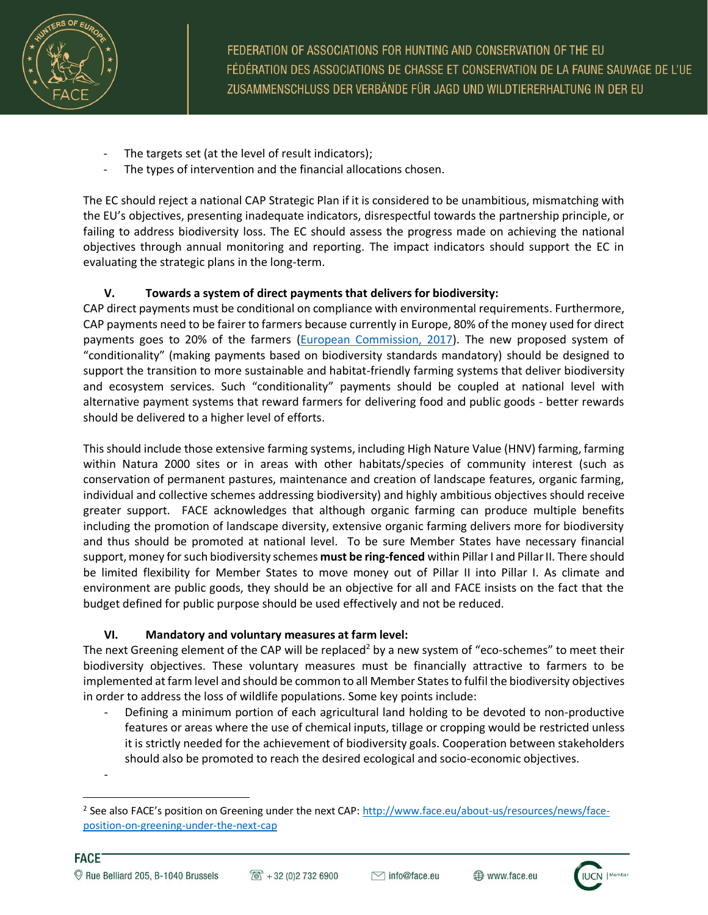

FEDERATION OF ASSOCIATIONS FOR HUNTING AND CONSERVATION OF THE EU FÉDÉRATION DES ASSOCIATIONS DE CHASSE ET CONSERVATION DE LA FAUNE SAUVAGE DE L'UE ZUSAMMENSCHLUSS DER VERBÄNDE FÜR JAGD UND WILDTIERERHALTUNG IN DER EU

- The targets set (at the level of result indicators);
- The types of intervention and the financial allocations chosen.

The EC should reject a national CAP Strategic Plan if it is considered to be unambitious, mismatching with the EU's objectives, presenting inadequate indicators, disrespectful towards the partnership principle, or failing to address biodiversity loss. The EC should assess the progress made on achieving the national objectives through annual monitoring and reporting. The impact indicators should support the EC in evaluating the strategic plans in the long-term.

## **V. Towards a system of direct payments that delivers for biodiversity:**

CAP direct payments must be conditional on compliance with environmental requirements. Furthermore, CAP payments need to be fairer to farmers because currently in Europe, 80% of the money used for direct payments goes to 20% of the farmers [\(European Commission, 2017\)](https://ec.europa.eu/agriculture/sites/agriculture/files/cap-funding/beneficiaries/direct-aid/pdf/annex2-2016_en.pdf). The new proposed system of "conditionality" (making payments based on biodiversity standards mandatory) should be designed to support the transition to more sustainable and habitat-friendly farming systems that deliver biodiversity and ecosystem services. Such "conditionality" payments should be coupled at national level with alternative payment systems that reward farmers for delivering food and public goods - better rewards should be delivered to a higher level of efforts.

This should include those extensive farming systems, including High Nature Value (HNV) farming, farming within Natura 2000 sites or in areas with other habitats/species of community interest (such as conservation of permanent pastures, maintenance and creation of landscape features, organic farming, individual and collective schemes addressing biodiversity) and highly ambitious objectives should receive greater support. FACE acknowledges that although organic farming can produce multiple benefits including the promotion of landscape diversity, extensive organic farming delivers more for biodiversity and thus should be promoted at national level. To be sure Member States have necessary financial support, money for such biodiversity schemes **must be ring-fenced** within Pillar I and Pillar II. There should be limited flexibility for Member States to move money out of Pillar II into Pillar I. As climate and environment are public goods, they should be an objective for all and FACE insists on the fact that the budget defined for public purpose should be used effectively and not be reduced.

#### **VI. Mandatory and voluntary measures at farm level:**

-

The next Greening element of the CAP will be replaced<sup>2</sup> by a new system of "eco-schemes" to meet their biodiversity objectives. These voluntary measures must be financially attractive to farmers to be implemented at farm level and should be common to all Member Statesto fulfil the biodiversity objectives in order to address the loss of wildlife populations. Some key points include:

Defining a minimum portion of each agricultural land holding to be devoted to non-productive features or areas where the use of chemical inputs, tillage or cropping would be restricted unless it is strictly needed for the achievement of biodiversity goals. Cooperation between stakeholders should also be promoted to reach the desired ecological and socio-economic objectives.

 $\overline{\phantom{a}}$ <sup>2</sup> See also FACE's position on Greening under the next CAP: [http://www.face.eu/about-us/resources/news/face](http://www.face.eu/about-us/resources/news/face-position-on-greening-under-the-next-cap)[position-on-greening-under-the-next-cap](http://www.face.eu/about-us/resources/news/face-position-on-greening-under-the-next-cap)